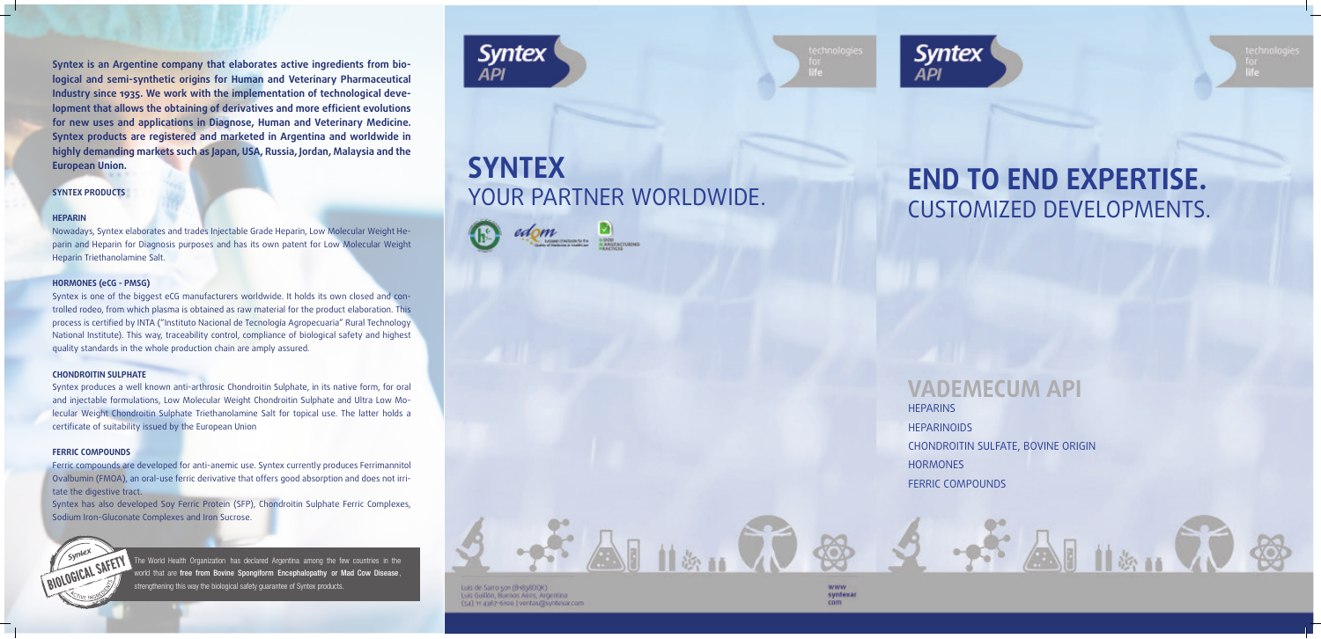CONTRATAPA TAPA



# **VADEMECUM API**

# **END TO END EXPERTISE.**  CUSTOMIZED DEVELOPMENTS.

 $2 - x^2$  as  $113 - 000$ 

**HEPARINS HEPARINOIDS** CHONDROITIN SULFATE, BOVINE ORIGIN **HORMONES** FERRIC COMPOUNDS





# **SYNTEX** YOUR PARTNER WORLDWIDE.







Luís de Sarro son (Br@38DOK) Luis Guillón, Buenos Aires, Argentina (54) 11 4367-6100 | ventas@syntexar.com

**Syntex is an Argentine company that elaborates active ingredients from biological and semi-synthetic origins for Human and Veterinary Pharmaceutical Industry since 1935. We work with the implementation of technological development that allows the obtaining of derivatives and more efficient evolutions for new uses and applications in Diagnose, Human and Veterinary Medicine. Syntex products are registered and marketed in Argentina and worldwide in highly demanding markets such as Japan, USA, Russia, Jordan, Malaysia and the European Union.** 

## **SYNTEX PRODUCTS**

#### **HEPARIN**

Nowadays, Syntex elaborates and trades Injectable Grade Heparin, Low Molecular Weight Heparin and Heparin for Diagnosis purposes and has its own patent for Low Molecular Weight Heparin Triethanolamine Salt.

#### **HORMONES (eCG - PMSG)**

The World Health Organization has declared Argentina among the few countries in the world that are free from Bovine Spongiform Encephalopathy or Mad Cow Disease, trengthening this way the biological safety guarantee of Syntex products.



Syntex is one of the biggest eCG manufacturers worldwide. It holds its own closed and controlled rodeo, from which plasma is obtained as raw material for the product elaboration. This process is certified by INTA ("Instituto Nacional de Tecnología Agropecuaria" Rural Technology National Institute). This way, traceability control, compliance of biological safety and highest quality standards in the whole production chain are amply assured.

#### **CHONDROITIN SULPHATE**

Syntex produces a well known anti-arthrosic Chondroitin Sulphate, in its native form, for oral and injectable formulations, Low Molecular Weight Chondroitin Sulphate and Ultra Low Molecular Weight Chondroitin Sulphate Triethanolamine Salt for topical use. The latter holds a certificate of suitability issued by the European Union

#### **FERRIC COMPOUNDS**

Ferric compounds are developed for anti-anemic use. Syntex currently produces Ferrimannitol Ovalbumin (FMOA), an oral-use ferric derivative that offers good absorption and does not irritate the digestive tract.

Syntex has also developed Soy Ferric Protein (SFP), Chondroitin Sulphate Ferric Complexes, Sodium Iron-Gluconate Complexes and Iron Sucrose.